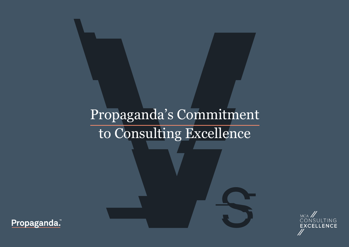# Propaganda's Commitment to Consulting Excellence



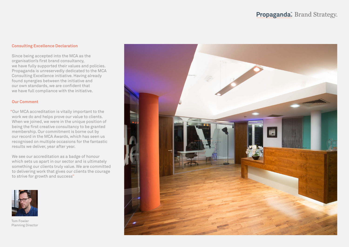## **Consulting Excellence Declaration**

Since being accepted into the MCA as the organisation's first brand consultancy, we have fully supported their values and policies. Propaganda is unreservedly dedicated to the MCA Consulting Excellence initiative. Having already found synergies between the initiative and our own standards, we are confident that we have full compliance with the initiative.

#### **Our Comment**

"Our MCA accreditation is vitally important to the work we do and helps prove our value to clients. When we joined, we were in the unique position of being the first creative consultancy to be granted membership. Our commitment is borne out by our record in the MCA Awards, which has seen us recognised on multiple occasions for the fantastic results we deliver, year after year.

We see our accreditation as a badge of honour which sets us apart in our sector and is ultimately something our clients truly value. We are committed to delivering work that gives our clients the courage to strive for growth and success"



Tom Fowler Planning Director

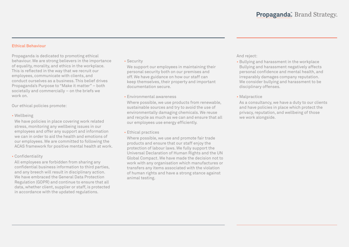## **Ethical Behaviour**

Propaganda is dedicated to promoting ethical behaviour. We are strong believers in the importance of equality, morality, and ethics in the workplace. This is reflected in the way that we recruit our employees, communicate with clients, and conduct ourselves as a business. This belief drives Propaganda's Purpose to "Make it matter" – both societally and commercially – on the briefs we work on.

Our ethical policies promote:

• Wellbeing

We have policies in place covering work related stress, monitoring any wellbeing issues in our employees and offer any support and information we can in order to aid the health and emotions of our employees. We are committed to following the ACAS framework for positive mental health at work.

• Confidentiality

All employees are forbidden from sharing any confidential business information to third parties, and any breech will result in disciplinary action. We have embraced the General Data Protection Regulation (GDPR) and continue to ensure that all data, whether client, supplier or staff, is protected in accordance with the updated regulations.

• Security

We support our employees in maintaining their personal security both on our premises and off. We have guidance on how our staff can keep themselves, their property and important documentation secure.

• Environmental awareness

Where possible, we use products from renewable, sustainable sources and try to avoid the use of environmentally damaging chemicals. We reuse and recycle as much as we can and ensure that all our employees use energy efficiently.

• Ethical practices

Where possible, we use and promote fair trade products and ensure that our staff enjoy the protection of labour laws. We fully support the Universal Declaration of Human Rights and the UN Global Compact. We have made the decision not to work with any organisation which manufactures or transfers any items associated with the violation of human rights and have a strong stance against animal testing.

# And reject:

- Bullying and harassment in the workplace Bullying and harassment negatively affects personal confidence and mental health, and irreparably damages company reputation. We consider bullying and harassment to be disciplinary offenses.
- Malpractice

As a consultancy, we have a duty to our clients and have policies in place which protect the privacy, reputation, and wellbeing of those we work alongside.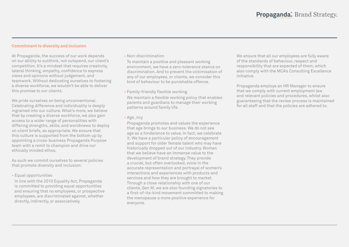## **Commitment to diversity and inclusion**

At Propaganda, the success of our work depends on our ability to outthink, not outspend, our client's competition. It's a mindset that requires creativity, lateral thinking, empathy, confidence to express views and opinions without judgement, and teamwork. Without dedicating ourselves to fostering a diverse workforce, we wouldn't be able to deliver this promise to our clients.

We pride ourselves on being unconventional. Celebrating difference and individuality is deeply ingrained into our culture. What's more, we believe that by creating a diverse workforce, we also gain access to a wider range of personalities with differing strengths, skills, and worldviews to deploy on client briefs, as appropriate. We ensure that this culture is supported from the bottom up by appointing a cross-business Propaganda Purpose team with a remit to champion and drive our ethically minded ethos.

As such we commit ourselves to several policies that promote diversity and inclusion:

• Equal opportunities

In line with the 2010 Equality Act, Propaganda is committed to providing equal opportunities and ensuring that no employees, or prospective employees, are discriminated against, whether directly, indirectly, or associatively.

• Non-discrimination

To maintain a positive and pleasant working environment, we have a zero-tolerance stance on discrimination. And to prevent the victimisation of any of our employees, or clients, we consider this kind of behaviour to be punishable offence.

• Family-friendly flexible working We maintain a flexible working policy that enables parents and guardians to manage their working patterns around family life.

• Age\_ncy

Propaganda promotes and values the experience that age brings to our business. We do not see age as a hinderance to value. In fact, we celebrate it. We have a particular policy of encouragement and support for older female talent who may have historically dropped out of our industry. Women that we believe have an immense value to the development of brand strategy. They provide a crucial, but often overlooked, voice in the accurate representation and portrayal of women's interactions and experiences with products and services and how they are brought to market. Through a close relationship with one of our clients, Gen M, we are also founding signatories to a first-of-its-kind movement committed to making the menopause a more positive experience for everyone.

We ensure that all our employees are fully aware of the standards of behaviour, respect and responsibility that are expected of them, which also comply with the MCA's Consulting Excellence initiative.

Propaganda employs an HR Manager to ensure that we comply with current employment law and relevant policies and procedures, whilst also guaranteeing that the review process is maintained for all staff and that the policies are adhered to.